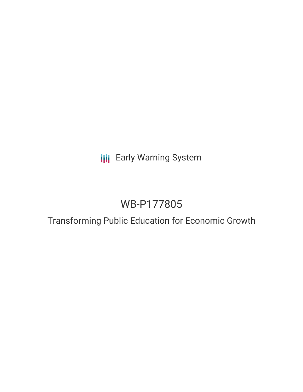# **III** Early Warning System

# WB-P177805

## Transforming Public Education for Economic Growth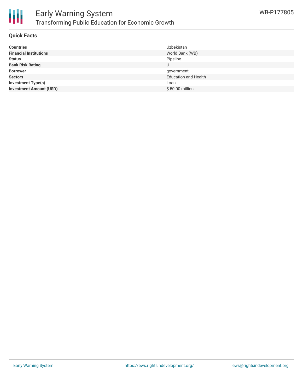

### **Quick Facts**

| <b>Countries</b>               | Uzbekistan                  |
|--------------------------------|-----------------------------|
| <b>Financial Institutions</b>  | World Bank (WB)             |
| <b>Status</b>                  | Pipeline                    |
| <b>Bank Risk Rating</b>        | U                           |
| <b>Borrower</b>                | government                  |
| <b>Sectors</b>                 | <b>Education and Health</b> |
| <b>Investment Type(s)</b>      | Loan                        |
| <b>Investment Amount (USD)</b> | \$50.00 million             |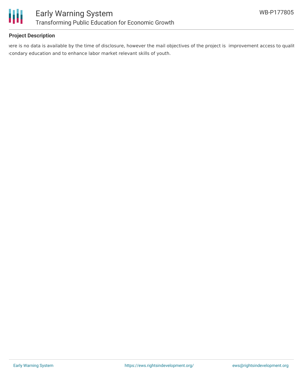

### **Project Description**

iere is no data is available by the time of disclosure, however the mail objectives of the project is improvement access to qualit secondary education and to enhance labor market relevant skills of youth.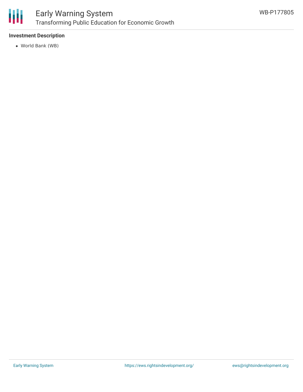

### **Investment Description**

World Bank (WB)